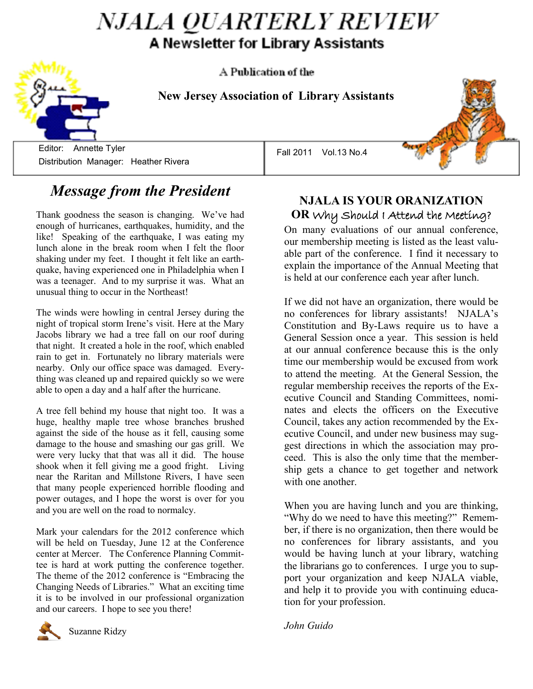# *NJALA QUARTERLY REVIEW* A Newsletter for Library Assistants

A Publication of the

**New Jersey Association of Library Assistants**

Editor: Annette Tyler **Editor:** Annette Tyler Distribution Manager: Heather Rivera

## *Message from the President*

Thank goodness the season is changing. We've had enough of hurricanes, earthquakes, humidity, and the like! Speaking of the earthquake, I was eating my lunch alone in the break room when I felt the floor shaking under my feet. I thought it felt like an earthquake, having experienced one in Philadelphia when I was a teenager. And to my surprise it was. What an unusual thing to occur in the Northeast!

The winds were howling in central Jersey during the night of tropical storm Irene's visit. Here at the Mary Jacobs library we had a tree fall on our roof during that night. It created a hole in the roof, which enabled rain to get in. Fortunately no library materials were nearby. Only our office space was damaged. Everything was cleaned up and repaired quickly so we were able to open a day and a half after the hurricane.

A tree fell behind my house that night too. It was a huge, healthy maple tree whose branches brushed against the side of the house as it fell, causing some damage to the house and smashing our gas grill. We were very lucky that that was all it did. The house shook when it fell giving me a good fright. Living near the Raritan and Millstone Rivers, I have seen that many people experienced horrible flooding and power outages, and I hope the worst is over for you and you are well on the road to normalcy.

Mark your calendars for the 2012 conference which will be held on Tuesday, June 12 at the Conference center at Mercer. The Conference Planning Committee is hard at work putting the conference together. The theme of the 2012 conference is "Embracing the Changing Needs of Libraries." What an exciting time it is to be involved in our professional organization and our careers. I hope to see you there!



Suzanne Ridzy

#### **NJALA IS YOUR ORANIZATION OR** Why Should I Attend the Meeting?

On many evaluations of our annual conference, our membership meeting is listed as the least valuable part of the conference. I find it necessary to explain the importance of the Annual Meeting that is held at our conference each year after lunch.

If we did not have an organization, there would be no conferences for library assistants! NJALA's Constitution and By-Laws require us to have a General Session once a year. This session is held at our annual conference because this is the only time our membership would be excused from work to attend the meeting. At the General Session, the regular membership receives the reports of the Executive Council and Standing Committees, nominates and elects the officers on the Executive Council, takes any action recommended by the Executive Council, and under new business may suggest directions in which the association may proceed. This is also the only time that the membership gets a chance to get together and network with one another.

When you are having lunch and you are thinking, "Why do we need to have this meeting?" Remember, if there is no organization, then there would be no conferences for library assistants, and you would be having lunch at your library, watching the librarians go to conferences. I urge you to support your organization and keep NJALA viable, and help it to provide you with continuing education for your profession.

*John Guido*

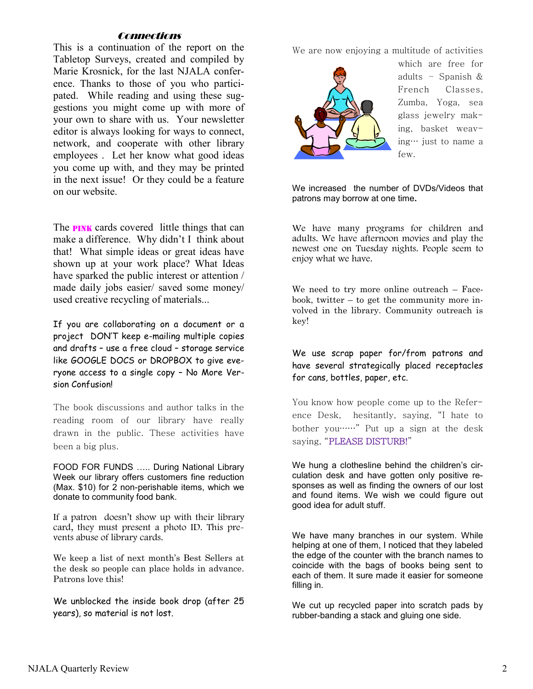#### **Connections**

This is a continuation of the report on the Tabletop Surveys, created and compiled by Marie Krosnick, for the last NJALA conference. Thanks to those of you who participated. While reading and using these suggestions you might come up with more of your own to share with us. Your newsletter editor is always looking for ways to connect, network, and cooperate with other library employees . Let her know what good ideas you come up with, and they may be printed in the next issue! Or they could be a feature on our website.

The **PINK** cards covered little things that can make a difference. Why didn't I think about that! What simple ideas or great ideas have shown up at your work place? What Ideas have sparked the public interest or attention / made daily jobs easier/ saved some money/ used creative recycling of materials...

If you are collaborating on a document or a project DON'T keep e-mailing multiple copies and drafts – use a free cloud – storage service like GOOGLE DOCS or DROPBOX to give everyone access to a single copy – No More Version Confusion!

The book discussions and author talks in the reading room of our library have really drawn in the public. These activities have been a big plus.

FOOD FOR FUNDS ….. During National Library Week our library offers customers fine reduction (Max. \$10) for 2 non-perishable items, which we donate to community food bank.

If a patron doesn't show up with their library card, they must present a photo ID. This prevents abuse of library cards.

We keep a list of next month's Best Sellers at the desk so people can place holds in advance. Patrons love this!

We unblocked the inside book drop (after 25 years), so material is not lost.

We are now enjoying a multitude of activities



which are free for adults – Spanish & French Classes, Zumba, Yoga, sea glass jewelry making, basket weaving… just to name a few.

We increased the number of DVDs/Videos that patrons may borrow at one time**.** 

We have many programs for children and adults. We have afternoon movies and play the newest one on Tuesday nights. People seem to enjoy what we have.

We need to try more online outreach – Facebook, twitter – to get the community more involved in the library. Community outreach is key!

#### We use scrap paper for/from patrons and have several strategically placed receptacles for cans, bottles, paper, etc.

You know how people come up to the Reference Desk, hesitantly, saying, "I hate to bother you……" Put up a sign at the desk saying, "PLEASE DISTURB!"

We hung a clothesline behind the children's circulation desk and have gotten only positive responses as well as finding the owners of our lost and found items. We wish we could figure out good idea for adult stuff.

We have many branches in our system. While helping at one of them, I noticed that they labeled the edge of the counter with the branch names to coincide with the bags of books being sent to each of them. It sure made it easier for someone filling in.

We cut up recycled paper into scratch pads by rubber-banding a stack and gluing one side.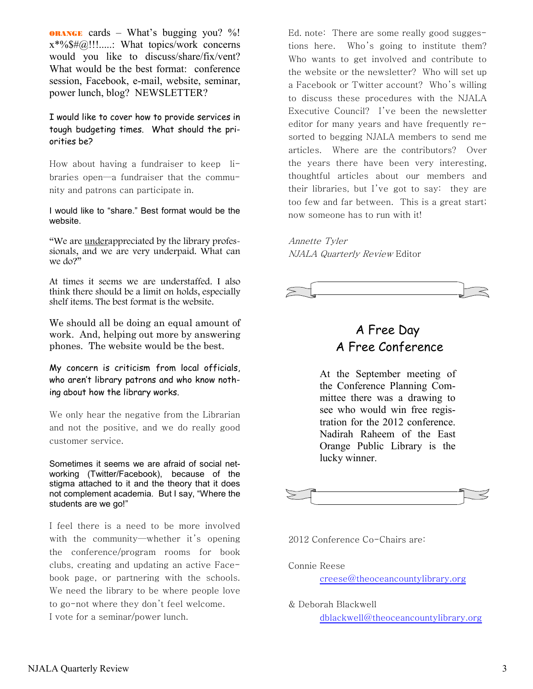**ORANGE** cards – What's bugging you? %!  $x^*%$ \$#@!!!.....: What topics/work concerns would you like to discuss/share/fix/vent? What would be the best format: conference session, Facebook, e-mail, website, seminar, power lunch, blog? NEWSLETTER?

I would like to cover how to provide services in tough budgeting times. What should the priorities be?

How about having a fundraiser to keep libraries open—a fundraiser that the community and patrons can participate in.

I would like to "share." Best format would be the website.

"We are underappreciated by the library professionals, and we are very underpaid. What can we do?"

At times it seems we are understaffed. I also think there should be a limit on holds, especially shelf items. The best format is the website.

We should all be doing an equal amount of work. And, helping out more by answering phones. The website would be the best.

My concern is criticism from local officials, who aren't library patrons and who know nothing about how the library works.

We only hear the negative from the Librarian and not the positive, and we do really good customer service.

Sometimes it seems we are afraid of social networking (Twitter/Facebook), because of the stigma attached to it and the theory that it does not complement academia. But I say, "Where the students are we go!"

I feel there is a need to be more involved with the community—whether it's opening the conference/program rooms for book clubs, creating and updating an active Facebook page, or partnering with the schools. We need the library to be where people love to go-not where they don't feel welcome. I vote for a seminar/power lunch.

Ed. note: There are some really good suggestions here. Who's going to institute them? Who wants to get involved and contribute to the website or the newsletter? Who will set up a Facebook or Twitter account? Who's willing to discuss these procedures with the NJALA Executive Council? I've been the newsletter editor for many years and have frequently resorted to begging NJALA members to send me articles. Where are the contributors? Over the years there have been very interesting, thoughtful articles about our members and their libraries, but I've got to say: they are too few and far between. This is a great start; now someone has to run with it!

Annette Tyler NJALA Quarterly Review Editor



## A Free Day A Free Conference

At the September meeting of the Conference Planning Committee there was a drawing to see who would win free registration for the 2012 conference. Nadirah Raheem of the East Orange Public Library is the lucky winner.



2012 Conference Co-Chairs are:

Connie Reese creese@theoceancountylibrary.org

& Deborah Blackwell

dblackwell@theoceancountylibrary.org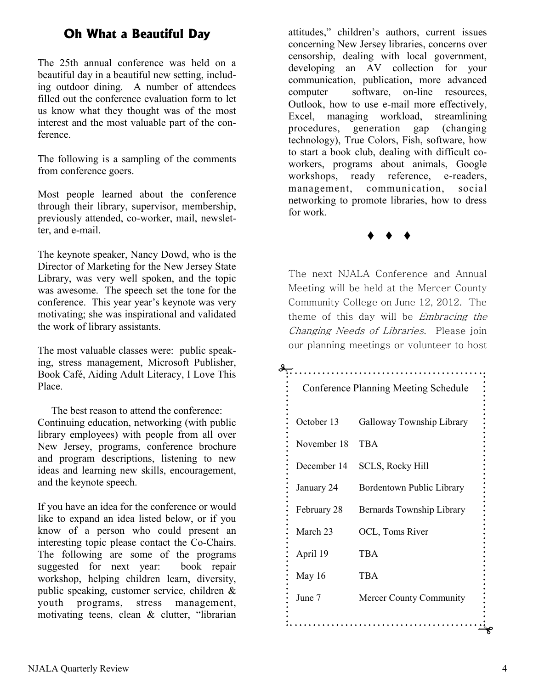### **Oh What a Beautiful Day**

The 25th annual conference was held on a beautiful day in a beautiful new setting, including outdoor dining. A number of attendees filled out the conference evaluation form to let us know what they thought was of the most interest and the most valuable part of the conference.

The following is a sampling of the comments from conference goers.

Most people learned about the conference through their library, supervisor, membership, previously attended, co-worker, mail, newsletter, and e-mail.

The keynote speaker, Nancy Dowd, who is the Director of Marketing for the New Jersey State Library, was very well spoken, and the topic was awesome. The speech set the tone for the conference. This year year's keynote was very motivating; she was inspirational and validated the work of library assistants.

The most valuable classes were: public speaking, stress management, Microsoft Publisher, Book Café, Aiding Adult Literacy, I Love This Place.

The best reason to attend the conference: Continuing education, networking (with public library employees) with people from all over New Jersey, programs, conference brochure and program descriptions, listening to new ideas and learning new skills, encouragement, and the keynote speech.

If you have an idea for the conference or would like to expand an idea listed below, or if you know of a person who could present an interesting topic please contact the Co-Chairs. The following are some of the programs suggested for next year: book repair workshop, helping children learn, diversity, public speaking, customer service, children & youth programs, stress management, motivating teens, clean & clutter, "librarian attitudes," children's authors, current issues concerning New Jersey libraries, concerns over censorship, dealing with local government, developing an AV collection for your communication, publication, more advanced computer software, on-line resources, Outlook, how to use e-mail more effectively, Excel, managing workload, streamlining procedures, generation gap (changing technology), True Colors, Fish, software, how to start a book club, dealing with difficult coworkers, programs about animals, Google workshops, ready reference, e-readers, management, communication, social networking to promote libraries, how to dress for work.

 $\bullet$   $\bullet$   $\bullet$ 

The next NJALA Conference and Annual Meeting will be held at the Mercer County Community College on June 12, 2012. The theme of this day will be Embracing the Changing Needs of Libraries. Please join our planning meetings or volunteer to host

# Conference Planning Meeting Schedule October 13 Galloway Township Library November 18 TBA December 14 SCLS, Rocky Hill January 24 Bordentown Public Library February 28 Bernards Township Library March 23 OCL, Toms River April 19 TBA May 16 TBA June 7 Mercer County Community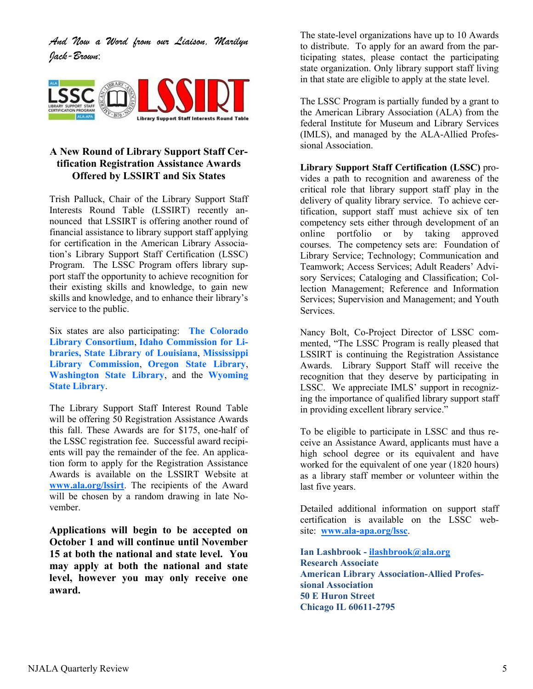*And Now a Word from our Liaison, Marilyn Jack-Brown*:



#### **A New Round of Library Support Staff Certification Registration Assistance Awards Offered by LSSIRT and Six States**

Trish Palluck, Chair of the Library Support Staff Interests Round Table (LSSIRT) recently announced that LSSIRT is offering another round of financial assistance to library support staff applying for certification in the American Library Association's Library Support Staff Certification (LSSC) Program. The LSSC Program offers library support staff the opportunity to achieve recognition for their existing skills and knowledge, to gain new skills and knowledge, and to enhance their library's service to the public.

Six states are also participating: **[The Colorado](http://www.clicweb.org/)  [Library Consortium](http://www.clicweb.org/)**, **[Idaho Commission for Li](http://libraries.idaho.gov/)[braries,](http://libraries.idaho.gov/) [State Library of Louisiana](http://www.state.lib.la.us/)**, **[Mississippi](http://www.mlc.lib.ms.us/)  [Library Commission](http://www.mlc.lib.ms.us/)**, **[Oregon State Library](http://www.oregon.gov/OSL/)**, **[Washington State Library](http://www.sos.wa.gov/library/)**, and the **[Wyoming](http://www-wsl.state.wy.us/)  [State Library](http://www-wsl.state.wy.us/)**.

The Library Support Staff Interest Round Table will be offering 50 Registration Assistance Awards this fall. These Awards are for \$175, one-half of the LSSC registration fee. Successful award recipients will pay the remainder of the fee. An application form to apply for the Registration Assistance Awards is available on the LSSIRT Website at **[www.ala.org/lssirt](http://www.ala.org/lssirt)**. The recipients of the Award will be chosen by a random drawing in late November.

**Applications will begin to be accepted on October 1 and will continue until November 15 at both the national and state level. You may apply at both the national and state level, however you may only receive one award.**

The state-level organizations have up to 10 Awards to distribute. To apply for an award from the participating states, please contact the participating state organization. Only library support staff living in that state are eligible to apply at the state level.

The LSSC Program is partially funded by a grant to the American Library Association (ALA) from the federal Institute for Museum and Library Services (IMLS), and managed by the ALA-Allied Professional Association.

**Library Support Staff Certification (LSSC)** provides a path to recognition and awareness of the critical role that library support staff play in the delivery of quality library service. To achieve certification, support staff must achieve six of ten competency sets either through development of an online portfolio or by taking approved courses. The competency sets are: Foundation of Library Service; Technology; Communication and Teamwork; Access Services; Adult Readers' Advisory Services; Cataloging and Classification; Collection Management; Reference and Information Services; Supervision and Management; and Youth Services.

Nancy Bolt, Co-Project Director of LSSC commented, "The LSSC Program is really pleased that LSSIRT is continuing the Registration Assistance Awards. Library Support Staff will receive the recognition that they deserve by participating in LSSC. We appreciate IMLS' support in recognizing the importance of qualified library support staff in providing excellent library service."

To be eligible to participate in LSSC and thus receive an Assistance Award, applicants must have a high school degree or its equivalent and have worked for the equivalent of one year (1820 hours) as a library staff member or volunteer within the last five years.

Detailed additional information on support staff certification is available on the LSSC website: **[www.ala-apa.org/lssc](http://www.ala-apa.org/lssc)**.

**Ian Lashbrook - [ilashbrook@ala.org](mailto:jmcgovern@ala.org) Research Associate American Library Association-Allied Professional Association 50 E Huron Street Chicago IL 60611-2795**